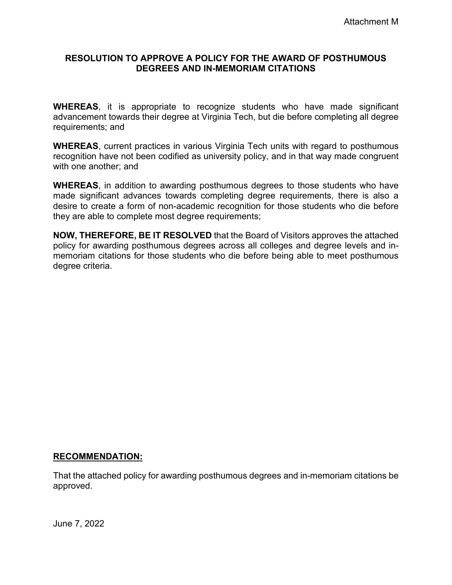### **RESOLUTION TO APPROVE A POLICY FOR THE AWARD OF POSTHUMOUS DEGREES AND IN-MEMORIAM CITATIONS**

**WHEREAS**, it is appropriate to recognize students who have made significant advancement towards their degree at Virginia Tech, but die before completing all degree requirements; and

**WHEREAS**, current practices in various Virginia Tech units with regard to posthumous recognition have not been codified as university policy, and in that way made congruent with one another; and

**WHEREAS**, in addition to awarding posthumous degrees to those students who have made significant advances towards completing degree requirements, there is also a desire to create a form of non-academic recognition for those students who die before they are able to complete most degree requirements;

**NOW, THEREFORE, BE IT RESOLVED** that the Board of Visitors approves the attached policy for awarding posthumous degrees across all colleges and degree levels and inmemoriam citations for those students who die before being able to meet posthumous degree criteria.

### **RECOMMENDATION:**

That the attached policy for awarding posthumous degrees and in-memoriam citations be approved.

June 7, 2022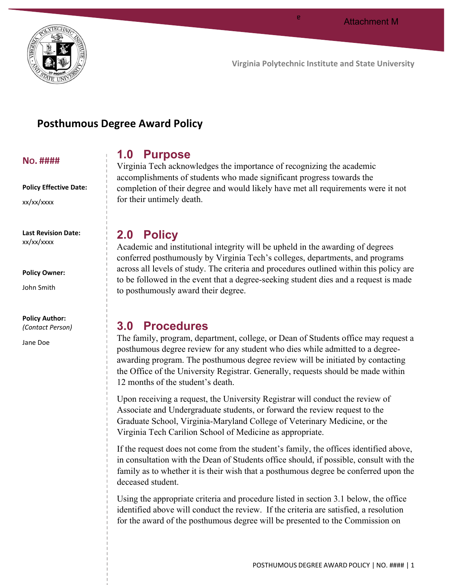

a

# **Posthumous Degree Award Policy**

#### **NO. ####**

#### **Policy Effective Date:**

xx/xx/xxxx

**Last Revision Date:** xx/xx/xxxx

### **Policy Owner:**

John Smith

# **Policy Author:**

*(Contact Person)*

Jane Doe

# **1.0 Purpose**

Virginia Tech acknowledges the importance of recognizing the academic accomplishments of students who made significant progress towards the completion of their degree and would likely have met all requirements were it not for their untimely death.

# **2.0 Policy**

Academic and institutional integrity will be upheld in the awarding of degrees conferred posthumously by Virginia Tech's colleges, departments, and programs across all levels of study. The criteria and procedures outlined within this policy are to be followed in the event that a degree-seeking student dies and a request is made to posthumously award their degree.

# **3.0 Procedures**

The family, program, department, college, or Dean of Students office may request a posthumous degree review for any student who dies while admitted to a degreeawarding program. The posthumous degree review will be initiated by contacting the Office of the University Registrar. Generally, requests should be made within 12 months of the student's death.

Upon receiving a request, the University Registrar will conduct the review of Associate and Undergraduate students, or forward the review request to the Graduate School, Virginia-Maryland College of Veterinary Medicine, or the Virginia Tech Carilion School of Medicine as appropriate.

If the request does not come from the student's family, the offices identified above, in consultation with the Dean of Students office should, if possible, consult with the family as to whether it is their wish that a posthumous degree be conferred upon the deceased student.

Using the appropriate criteria and procedure listed in section 3.1 below, the office identified above will conduct the review. If the criteria are satisfied, a resolution for the award of the posthumous degree will be presented to the Commission on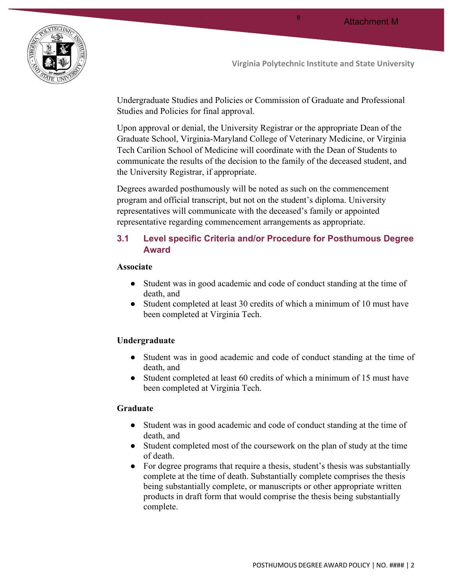

a

Undergraduate Studies and Policies or Commission of Graduate and Professional Studies and Policies for final approval.

Upon approval or denial, the University Registrar or the appropriate Dean of the Graduate School, Virginia-Maryland College of Veterinary Medicine, or Virginia Tech Carilion School of Medicine will coordinate with the Dean of Students to communicate the results of the decision to the family of the deceased student, and the University Registrar, if appropriate.

Degrees awarded posthumously will be noted as such on the commencement program and official transcript, but not on the student's diploma. University representatives will communicate with the deceased's family or appointed representative regarding commencement arrangements as appropriate.

# **3.1 Level specific Criteria and/or Procedure for Posthumous Degree Award**

#### **Associate**

- Student was in good academic and code of conduct standing at the time of death, and
- Student completed at least 30 credits of which a minimum of 10 must have been completed at Virginia Tech.

#### **Undergraduate**

- Student was in good academic and code of conduct standing at the time of death, and
- Student completed at least 60 credits of which a minimum of 15 must have been completed at Virginia Tech.

#### **Graduate**

- Student was in good academic and code of conduct standing at the time of death, and
- Student completed most of the coursework on the plan of study at the time of death.
- For degree programs that require a thesis, student's thesis was substantially complete at the time of death. Substantially complete comprises the thesis being substantially complete, or manuscripts or other appropriate written products in draft form that would comprise the thesis being substantially complete.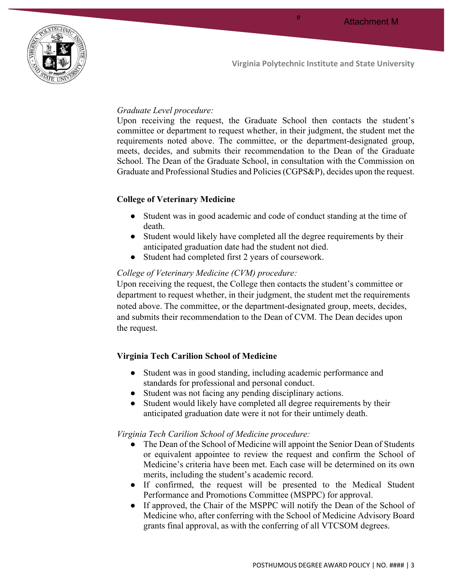

a

## *Graduate Level procedure:*

Upon receiving the request, the Graduate School then contacts the student's committee or department to request whether, in their judgment, the student met the requirements noted above. The committee, or the department-designated group, meets, decides, and submits their recommendation to the Dean of the Graduate School. The Dean of the Graduate School, in consultation with the Commission on Graduate and Professional Studies and Policies (CGPS&P), decides upon the request.

# **College of Veterinary Medicine**

- Student was in good academic and code of conduct standing at the time of death.
- Student would likely have completed all the degree requirements by their anticipated graduation date had the student not died.
- Student had completed first 2 years of coursework.

# *College of Veterinary Medicine (CVM) procedure:*

Upon receiving the request, the College then contacts the student's committee or department to request whether, in their judgment, the student met the requirements noted above. The committee, or the department-designated group, meets, decides, and submits their recommendation to the Dean of CVM. The Dean decides upon the request.

### **Virginia Tech Carilion School of Medicine**

- Student was in good standing, including academic performance and standards for professional and personal conduct.
- Student was not facing any pending disciplinary actions.
- Student would likely have completed all degree requirements by their anticipated graduation date were it not for their untimely death.

### *Virginia Tech Carilion School of Medicine procedure:*

- The Dean of the School of Medicine will appoint the Senior Dean of Students or equivalent appointee to review the request and confirm the School of Medicine's criteria have been met. Each case will be determined on its own merits, including the student's academic record.
- If confirmed, the request will be presented to the Medical Student Performance and Promotions Committee (MSPPC) for approval.
- If approved, the Chair of the MSPPC will notify the Dean of the School of Medicine who, after conferring with the School of Medicine Advisory Board grants final approval, as with the conferring of all VTCSOM degrees.